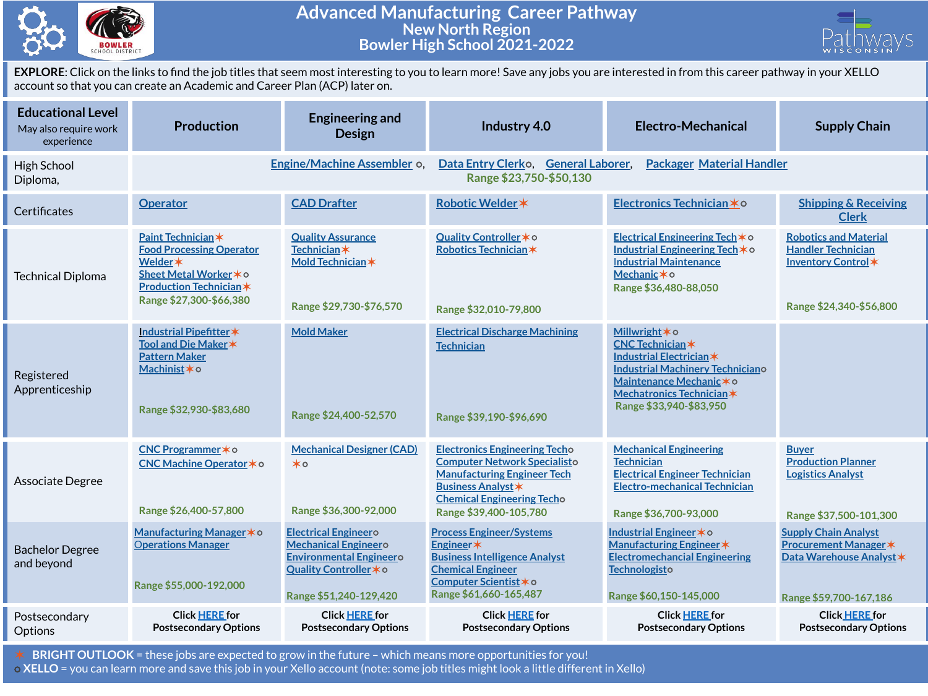

## **Advanced Manufacturing Career Pathway New North Region Bowler High School 2021-2022**



**EXPLORE**: Click on the links to find the job titles that seem most interesting to you to learn more! Save any jobs you are interested in from this career pathway in your XELLO account so that you can create an Academic and Career Plan (ACP) later on.

| <b>Educational Level</b><br>May also require work<br>experience | <b>Production</b>                                                                                                                                      | <b>Engineering and</b><br><b>Design</b>                                                                                                          | Industry 4.0                                                                                                                                                                                                  | <b>Electro-Mechanical</b>                                                                                                                                                                           | <b>Supply Chain</b>                                                                                               |  |  |
|-----------------------------------------------------------------|--------------------------------------------------------------------------------------------------------------------------------------------------------|--------------------------------------------------------------------------------------------------------------------------------------------------|---------------------------------------------------------------------------------------------------------------------------------------------------------------------------------------------------------------|-----------------------------------------------------------------------------------------------------------------------------------------------------------------------------------------------------|-------------------------------------------------------------------------------------------------------------------|--|--|
| High School<br>Diploma,                                         |                                                                                                                                                        | Engine/Machine Assembler o,                                                                                                                      | Data Entry Clerko, General Laborer,<br><b>Packager Material Handler</b><br>Range \$23,750-\$50,130                                                                                                            |                                                                                                                                                                                                     |                                                                                                                   |  |  |
| Certificates                                                    | <b>Operator</b>                                                                                                                                        | <b>CAD Drafter</b>                                                                                                                               | Robotic Welder *                                                                                                                                                                                              | Electronics Technician * 0                                                                                                                                                                          | <b>Shipping &amp; Receiving</b><br><b>Clerk</b>                                                                   |  |  |
| <b>Technical Diploma</b>                                        | Paint Technician*<br><b>Food Processing Operator</b><br>Welder *<br>Sheet Metal Worker * o<br><b>Production Technician*</b><br>Range \$27,300-\$66,380 | <b>Quality Assurance</b><br><b>Technician</b> *<br>Mold Technician *<br>Range \$29,730-\$76,570                                                  | Quality Controller * o<br>Robotics Technician*<br>Range \$32,010-79,800                                                                                                                                       | Electrical Engineering Tech*o<br>Industrial Engineering Tech*o<br><b>Industrial Maintenance</b><br>Mechanic * o<br>Range \$36,480-88,050                                                            | <b>Robotics and Material</b><br><b>Handler Technician</b><br>Inventory Control*<br>Range \$24,340-\$56,800        |  |  |
| Registered<br>Apprenticeship                                    | Industrial Pipefitter*<br>Tool and Die Maker *<br><b>Pattern Maker</b><br>Machinist * o<br>Range \$32,930-\$83,680                                     | <b>Mold Maker</b><br>Range \$24,400-52,570                                                                                                       | <b>Electrical Discharge Machining</b><br><b>Technician</b><br>Range \$39,190-\$96,690                                                                                                                         | Millwright * o<br><b>CNC Technician*</b><br>Industrial Electrician *<br><b>Industrial Machinery Techniciano</b><br>Maintenance Mechanic * o<br>Mechatronics Technician *<br>Range \$33,940-\$83,950 |                                                                                                                   |  |  |
| Associate Degree                                                | CNC Programmer*o<br>CNC Machine Operator * o<br>Range \$26,400-57,800                                                                                  | <b>Mechanical Designer (CAD)</b><br>$\star \circ$<br>Range \$36,300-92,000                                                                       | <b>Electronics Engineering Techo</b><br><b>Computer Network Specialisto</b><br><b>Manufacturing Engineer Tech</b><br><b>Business Analyst *</b><br><b>Chemical Engineering Techo</b><br>Range \$39,400-105,780 | <b>Mechanical Engineering</b><br><b>Technician</b><br><b>Electrical Engineer Technician</b><br><b>Electro-mechanical Technician</b><br>Range \$36,700-93,000                                        | <b>Buyer</b><br><b>Production Planner</b><br><b>Logistics Analyst</b><br>Range \$37,500-101,300                   |  |  |
| <b>Bachelor Degree</b><br>and beyond                            | Manufacturing Manager * o<br><b>Operations Manager</b><br>Range \$55,000-192,000                                                                       | <b>Electrical Engineero</b><br><b>Mechanical Engineero</b><br><b>Environmental Engineero</b><br>Quality Controller * o<br>Range \$51,240-129,420 | <b>Process Engineer/Systems</b><br>Engineer*<br><b>Business Intelligence Analyst</b><br><b>Chemical Engineer</b><br>Computer Scientist * o<br>Range \$61,660-165,487                                          | Industrial Engineer * o<br>Manufacturing Engineer *<br><b>Electromechancial Engineering</b><br>Technologisto<br>Range \$60,150-145,000                                                              | <b>Supply Chain Analyst</b><br><b>Procurement Manager *</b><br>Data Warehouse Analyst *<br>Range \$59,700-167,186 |  |  |
| Postsecondary<br>Options                                        | <b>Click HERE for</b><br><b>Postsecondary Options</b>                                                                                                  | <b>Click HERE for</b><br><b>Postsecondary Options</b>                                                                                            | <b>Click HERE for</b><br><b>Postsecondary Options</b>                                                                                                                                                         | <b>Click HERE for</b><br><b>Postsecondary Options</b>                                                                                                                                               | <b>Click HERE for</b><br><b>Postsecondary Options</b>                                                             |  |  |

✶ **BRIGHT OUTLOOK** = these jobs are expected to grow in the future – which means more opportunities for you! ⭘ **XELLO** = you can learn more and save this job in your Xello account (note: some job titles might look a little different in Xello)